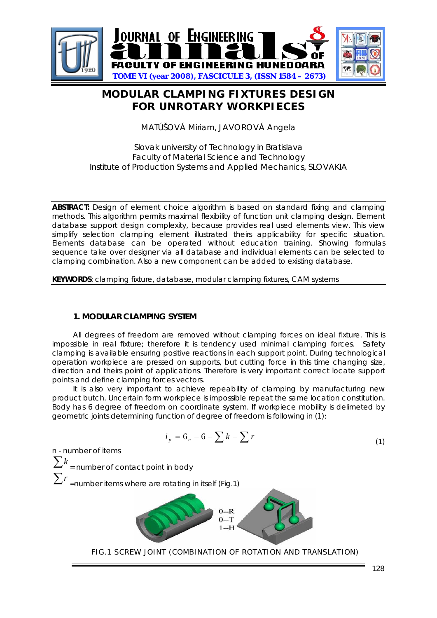

# **MODULAR CLAMPING FIXTURES DESIGN FOR UNROTARY WORKPIECES**

MATÚŠOVÁ Miriam, JAVOROVÁ Angela

# Slovak university of Technology in Bratislava Faculty of Material Science and Technology Institute of Production Systems and Applied Mechanics, SLOVAKIA

**ABSTRACT:** Design of element choice algorithm is based on standard fixing and clamping methods. This algorithm permits maximal flexibility of function unit clamping design. Element database support design complexity, because provides real used elements view. This view simplify selection clamping element illustrated theirs applicability for specific situation. Elements database can be operated without education training. Showing formulas sequence take over designer via all database and individual elements can be selected to clamping combination. Also a new component can be added to existing database.

**KEYWORDS**: clamping fixture, database, modular clamping fixtures, CAM systems

# **1. MODULAR CLAMPING SYSTEM**

All degrees of freedom are removed without clamping forces on ideal fixture. This is impossible in real fixture; therefore it is tendency used minimal clamping forces. Safety clamping is available ensuring positive reactions in each support point. During technological operation workpiece are pressed on supports, but cutting force in this time changing size, direction and theirs point of applications. Therefore is very important correct locate support points and define clamping forces vectors.

It is also very important to achieve repeability of clamping by manufacturing new product butch. Uncertain form workpiece is impossible repeat the same location constitution. Body has 6 degree of freedom on coordinate system. If workpiece mobility is delimeted by geometric joints determining function of degree of freedom is following in (1):

$$
i_p = 6_n - 6 - \sum k - \sum r \tag{1}
$$

n - number of items  $\sum k$  = number of contact point in body ∑*<sup>r</sup>* =number items where are rotating in itself (Fig.1)



FIG.1 SCREW JOINT (COMBINATION OF ROTATION AND TRANSLATION)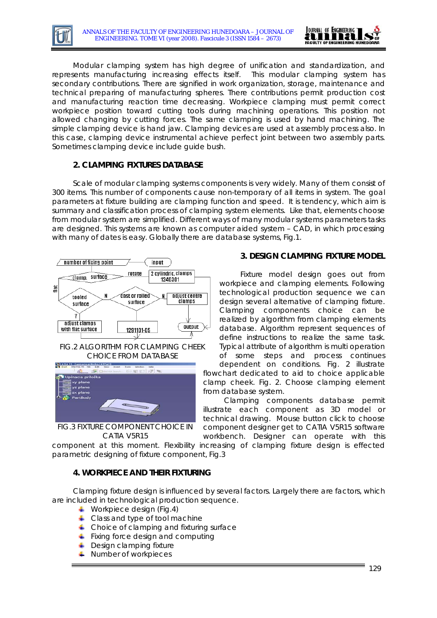

Modular clamping system has high degree of unification and standardization, and represents manufacturing increasing effects itself. This modular clamping system has secondary contributions. There are signified in work organization, storage, maintenance and technical preparing of manufacturing spheres. There contributions permit production cost and manufacturing reaction time decreasing. Workpiece clamping must permit correct workpiece position toward cutting tools during machining operations. This position not allowed changing by cutting forces. The same clamping is used by hand machining. The simple clamping device is hand jaw. Clamping devices are used at assembly process also. In this case, clamping device instrumental achieve perfect joint between two assembly parts. Sometimes clamping device include guide bush.

# **2. CLAMPING FIXTURES DATABASE**

Scale of modular clamping systems components is very widely. Many of them consist of 300 items. This number of components cause non-temporary of all items in system. The goal parameters at fixture building are clamping function and speed. It is tendency, which aim is summary and classification process of clamping system elements. Like that, elements choose from modular system are simplified. Different ways of many modular systems parameters tasks are designed. This systems are known as computer aided system – CAD, in which processing with many of dates is easy. Globally there are database systems, Fig.1.



FIG.2 ALGORITHM FOR CLAMPING CHEEK CHOICE FROM DATABASE



FIG.3 FIXTURE COMPONENT CHOICE IN CATIA V5R15

# **3. DESIGN CLAMPING FIXTURE MODEL**

Fixture model design goes out from workpiece and clamping elements. Following technological production sequence we can design several alternative of clamping fixture. Clamping components choice can be realized by algorithm from clamping elements database. Algorithm represent sequences of define instructions to realize the same task. Typical attribute of algorithm is multi operation of some steps and process continues

dependent on conditions. Fig. 2 illustrate flowchart dedicated to aid to choice applicable clamp cheek. Fig. 2. Choose clamping element from database system.

Clamping components database permit illustrate each component as 3D model or technical drawing. Mouse button click to choose component designer get to CATIA V5R15 software workbench. Designer can operate with this

component at this moment. Flexibility increasing of clamping fixture design is effected parametric designing of fixture component, Fig.3

#### **4. WORKPIECE AND THEIR FIXTURING**

Clamping fixture design is influenced by several factors. Largely there are factors, which are included in technological production sequence.

- **Workpiece design (Fig.4)**
- $\leftarrow$  Class and type of tool machine
- $\leftarrow$  Choice of clamping and fixturing surface
- $\overline{\phantom{a}}$  Fixing force design and computing
- **Design clamping fixture**
- **Number of workpieces**